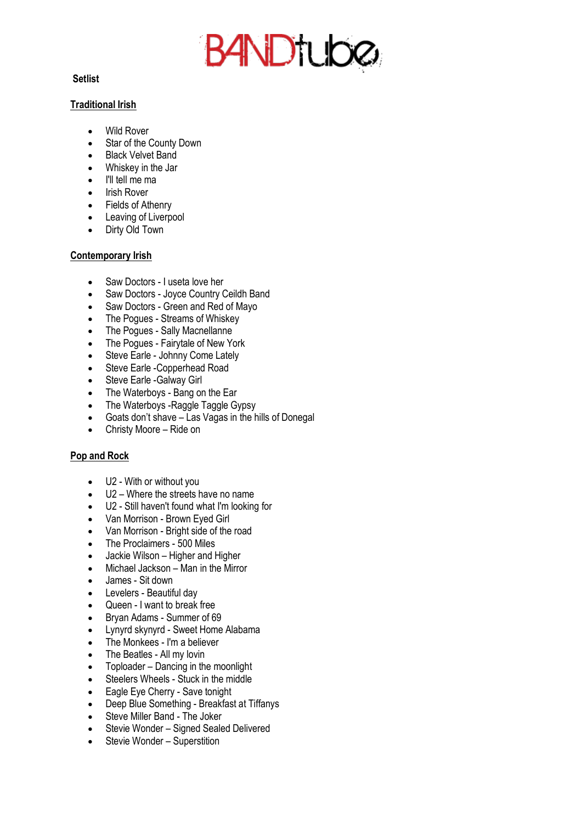# B4NDtuba

## **Setlist**

#### **Traditional Irish**

- Wild Rover
- Star of the County Down
- Black Velvet Band
- Whiskey in the Jar
- I'll tell me ma
- Irish Rover
- Fields of Athenry
- Leaving of Liverpool
- Dirty Old Town

## **Contemporary Irish**

- Saw Doctors I useta love her
- Saw Doctors Joyce Country Ceildh Band
- Saw Doctors Green and Red of Mayo
- The Pogues Streams of Whiskey
- The Pogues Sally Macnellanne
- The Pogues Fairytale of New York
- Steve Earle Johnny Come Lately
- Steve Earle Copperhead Road
- Steve Earle -Galway Girl
- The Waterboys Bang on the Ear
- The Waterboys Raggle Taggle Gypsy
- Goats don't shave Las Vagas in the hills of Donegal
- Christy Moore Ride on

# **Pop and Rock**

- U2 With or without you
- U2 Where the streets have no name
- U2 Still haven't found what I'm looking for
- Van Morrison Brown Eyed Girl
- Van Morrison Bright side of the road
- The Proclaimers 500 Miles
- Jackie Wilson Higher and Higher
- Michael Jackson Man in the Mirror
- James Sit down
- Levelers Beautiful day
- Queen I want to break free
- Bryan Adams Summer of 69
- Lynyrd skynyrd Sweet Home Alabama
- The Monkees I'm a believer
- The Beatles All my lovin
- Toploader Dancing in the moonlight
- Steelers Wheels Stuck in the middle
- Eagle Eye Cherry Save tonight
- Deep Blue Something Breakfast at Tiffanys
- Steve Miller Band The Joker
- Stevie Wonder Signed Sealed Delivered
- Stevie Wonder Superstition